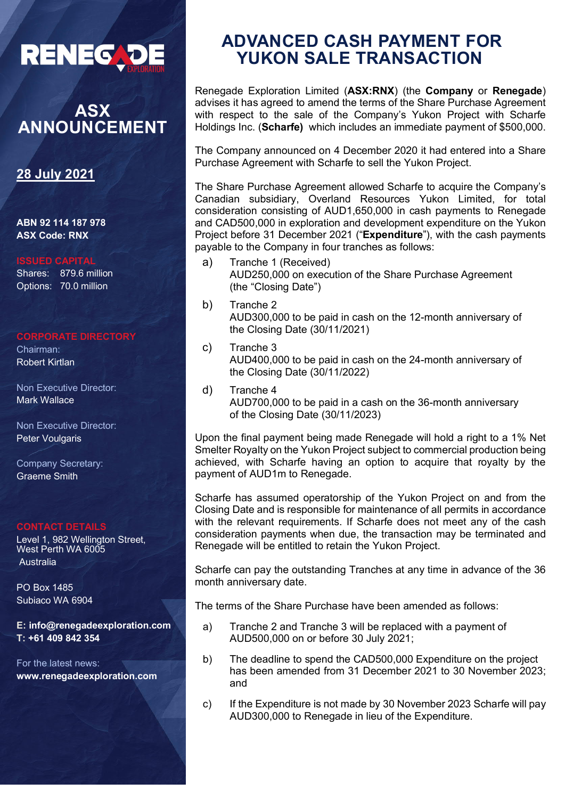

# **ASX ANNOUNCEMENT**

### **28 July 2021**

**ABN 92 114 187 978 ASX Code: RNX**

#### **ISSUED CAPITAL**

Shares: 879.6 million Options: 70.0 million

#### **CORPORATE DIRECTORY**

Chairman: Robert Kirtlan

Non Executive Director: Mark Wallace

Non Executive Director: Peter Voulgaris

Company Secretary: Graeme Smith

#### **CONTACT DETAILS**

Level 1, 982 Wellington Street, West Perth WA 6005 Australia

PO Box 1485 Subiaco WA 6904

**E: info@renegadeexploration.com T: +61 409 842 354**

For the latest news: **www.renegadeexploration.com**

## **ADVANCED CASH PAYMENT FOR YUKON SALE TRANSACTION**

Renegade Exploration Limited (**ASX:RNX**) (the **Company** or **Renegade**) advises it has agreed to amend the terms of the Share Purchase Agreement with respect to the sale of the Company's Yukon Project with Scharfe Holdings Inc. (**Scharfe)** which includes an immediate payment of \$500,000.

The Company announced on 4 December 2020 it had entered into a Share Purchase Agreement with Scharfe to sell the Yukon Project.

The Share Purchase Agreement allowed Scharfe to acquire the Company's Canadian subsidiary, Overland Resources Yukon Limited, for total consideration consisting of AUD1,650,000 in cash payments to Renegade and CAD500,000 in exploration and development expenditure on the Yukon Project before 31 December 2021 ("**Expenditure**"), with the cash payments payable to the Company in four tranches as follows:

- a) Tranche 1 (Received) AUD250,000 on execution of the Share Purchase Agreement (the "Closing Date")
- b) Tranche 2 AUD300,000 to be paid in cash on the 12-month anniversary of the Closing Date (30/11/2021)
- c) Tranche 3 AUD400,000 to be paid in cash on the 24-month anniversary of the Closing Date (30/11/2022)
- d) Tranche 4 AUD700,000 to be paid in a cash on the 36-month anniversary of the Closing Date (30/11/2023)

Upon the final payment being made Renegade will hold a right to a 1% Net Smelter Royalty on the Yukon Project subject to commercial production being achieved, with Scharfe having an option to acquire that royalty by the payment of AUD1m to Renegade.

Scharfe has assumed operatorship of the Yukon Project on and from the Closing Date and is responsible for maintenance of all permits in accordance with the relevant requirements. If Scharfe does not meet any of the cash consideration payments when due, the transaction may be terminated and Renegade will be entitled to retain the Yukon Project.

Scharfe can pay the outstanding Tranches at any time in advance of the 36 month anniversary date.

The terms of the Share Purchase have been amended as follows:

- a) Tranche 2 and Tranche 3 will be replaced with a payment of AUD500,000 on or before 30 July 2021;
- b) The deadline to spend the CAD500,000 Expenditure on the project has been amended from 31 December 2021 to 30 November 2023; and
- c) If the Expenditure is not made by 30 November 2023 Scharfe will pay AUD300,000 to Renegade in lieu of the Expenditure.